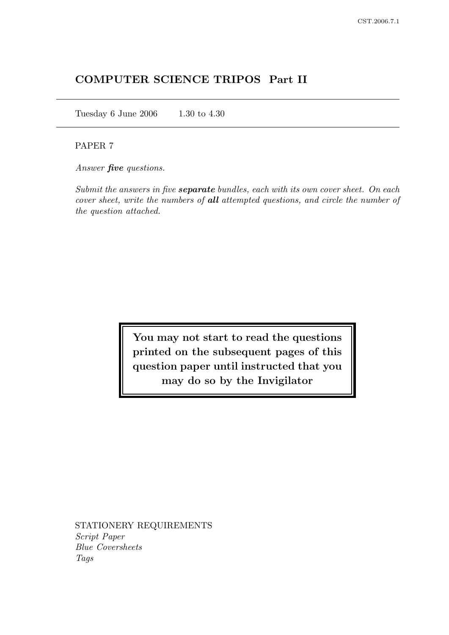# COMPUTER SCIENCE TRIPOS Part II

Tuesday 6 June 2006 1.30 to 4.30

### PAPER 7

Answer **five** questions.

Submit the answers in five **separate** bundles, each with its own cover sheet. On each cover sheet, write the numbers of all attempted questions, and circle the number of the question attached.

> You may not start to read the questions printed on the subsequent pages of this question paper until instructed that you may do so by the Invigilator

STATIONERY REQUIREMENTS Script Paper Blue Coversheets Tags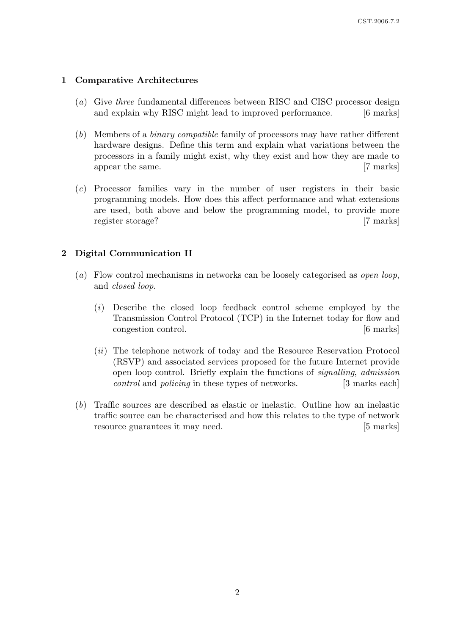## 1 Comparative Architectures

- (a) Give three fundamental differences between RISC and CISC processor design and explain why RISC might lead to improved performance. [6 marks]
- (b) Members of a binary compatible family of processors may have rather different hardware designs. Define this term and explain what variations between the processors in a family might exist, why they exist and how they are made to appear the same. [7 marks]
- (c) Processor families vary in the number of user registers in their basic programming models. How does this affect performance and what extensions are used, both above and below the programming model, to provide more register storage? [7 marks]

# 2 Digital Communication II

- (a) Flow control mechanisms in networks can be loosely categorised as open loop, and closed loop.
	- (i) Describe the closed loop feedback control scheme employed by the Transmission Control Protocol (TCP) in the Internet today for flow and congestion control. [6 marks]
	- (ii) The telephone network of today and the Resource Reservation Protocol (RSVP) and associated services proposed for the future Internet provide open loop control. Briefly explain the functions of signalling, admission control and *policing* in these types of networks. [3 marks each]
- (b) Traffic sources are described as elastic or inelastic. Outline how an inelastic traffic source can be characterised and how this relates to the type of network resource guarantees it may need. [5 marks]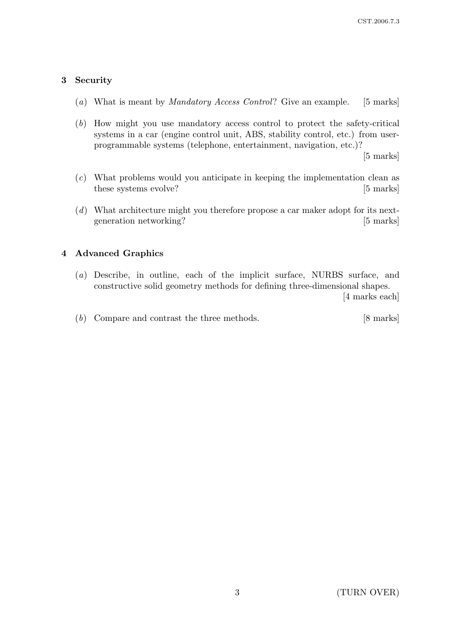## 3 Security

- (a) What is meant by Mandatory Access Control? Give an example. [5 marks]
- (b) How might you use mandatory access control to protect the safety-critical systems in a car (engine control unit, ABS, stability control, etc.) from userprogrammable systems (telephone, entertainment, navigation, etc.)?

[5 marks]

- (c) What problems would you anticipate in keeping the implementation clean as these systems evolve? [5 marks]
- (d) What architecture might you therefore propose a car maker adopt for its nextgeneration networking? [5 marks]

## 4 Advanced Graphics

(a) Describe, in outline, each of the implicit surface, NURBS surface, and constructive solid geometry methods for defining three-dimensional shapes.

[4 marks each]

(b) Compare and contrast the three methods. [8 marks]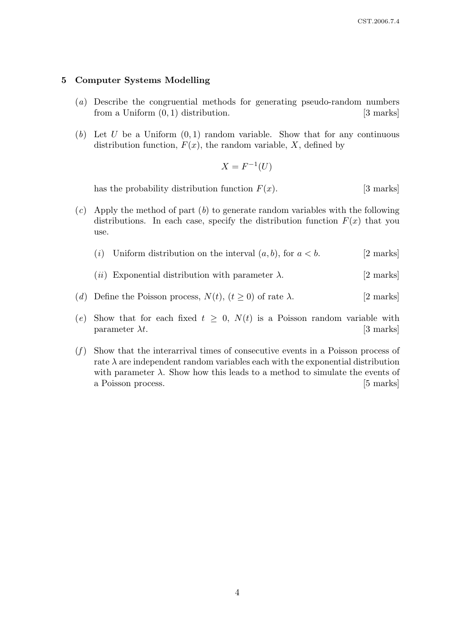#### 5 Computer Systems Modelling

- (a) Describe the congruential methods for generating pseudo-random numbers from a Uniform  $(0, 1)$  distribution. [3 marks]
- (b) Let U be a Uniform  $(0, 1)$  random variable. Show that for any continuous distribution function,  $F(x)$ , the random variable, X, defined by

$$
X = F^{-1}(U)
$$

has the probability distribution function  $F(x)$ . [3 marks]

- $(c)$  Apply the method of part  $(b)$  to generate random variables with the following distributions. In each case, specify the distribution function  $F(x)$  that you use.
	- (i) Uniform distribution on the interval  $(a, b)$ , for  $a < b$ . [2 marks]
	- (*ii*) Exponential distribution with parameter  $\lambda$ . [2 marks]
- (d) Define the Poisson process,  $N(t)$ ,  $(t \ge 0)$  of rate  $\lambda$ . [2 marks]
- (e) Show that for each fixed  $t \geq 0$ ,  $N(t)$  is a Poisson random variable with parameter  $\lambda t$ . [3 marks]
- $(f)$  Show that the interarrival times of consecutive events in a Poisson process of rate  $\lambda$  are independent random variables each with the exponential distribution with parameter  $\lambda$ . Show how this leads to a method to simulate the events of a Poisson process. [5 marks]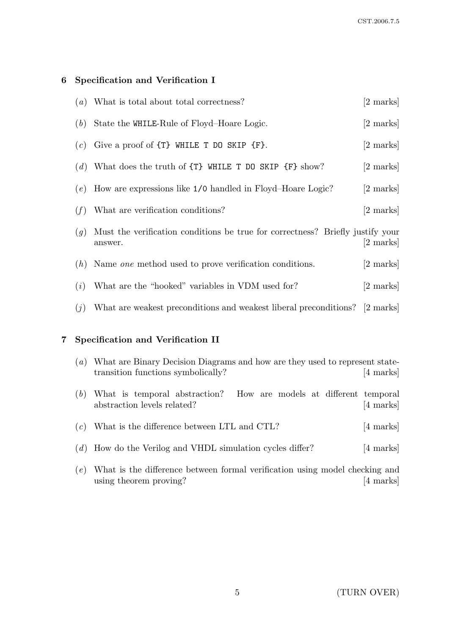# 6 Specification and Verification I

|     | $(a)$ What is total about total correctness?                                              | [2 marks] |
|-----|-------------------------------------------------------------------------------------------|-----------|
|     | $(b)$ State the WHILE-Rule of Floyd-Hoare Logic.                                          | [2 marks] |
| (c) | Give a proof of $\{T\}$ WHILE T DO SKIP $\{F\}$ .                                         | [2 marks] |
|     | (d) What does the truth of $\{T\}$ WHILE T DO SKIP $\{F\}$ show?                          | [2 marks] |
| (e) | How are expressions like 1/0 handled in Floyd–Hoare Logic?                                | [2 marks] |
| (f) | What are verification conditions?                                                         | [2 marks] |
| (g) | Must the verification conditions be true for correctness? Briefly justify your<br>answer. | 2 marks   |
|     | $(h)$ Name <i>one</i> method used to prove verification conditions.                       | [2 marks] |
| (i) | What are the "hooked" variables in VDM used for?                                          | [2 marks] |
| (j) | What are weakest preconditions and weakest liberal preconditions? [2 marks]               |           |
|     |                                                                                           |           |

# 7 Specification and Verification II

| (a) | What are Binary Decision Diagrams and how are they used to represent state-<br>transition functions symbolically? | [4 marks] |
|-----|-------------------------------------------------------------------------------------------------------------------|-----------|
|     | (b) What is temporal abstraction? How are models at different temporal<br>abstraction levels related?             | [4 marks] |
|     | $(c)$ What is the difference between LTL and CTL?                                                                 | [4 marks] |

- (d) How do the Verilog and VHDL simulation cycles differ? [4 marks]
- (e) What is the difference between formal verification using model checking and using theorem proving? [4 marks]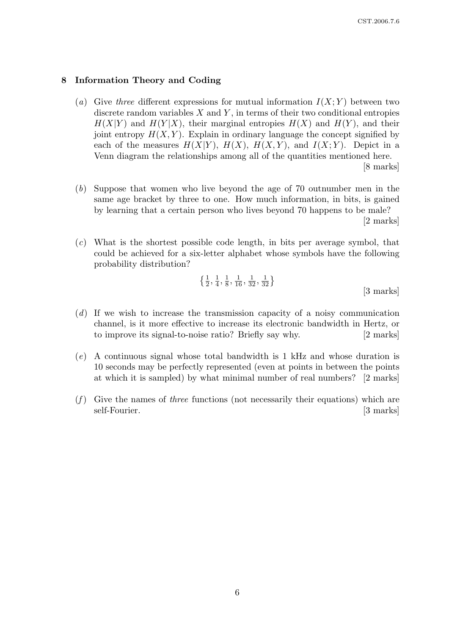#### 8 Information Theory and Coding

- (a) Give three different expressions for mutual information  $I(X; Y)$  between two discrete random variables  $X$  and  $Y$ , in terms of their two conditional entropies  $H(X|Y)$  and  $H(Y|X)$ , their marginal entropies  $H(X)$  and  $H(Y)$ , and their joint entropy  $H(X, Y)$ . Explain in ordinary language the concept signified by each of the measures  $H(X|Y)$ ,  $H(X)$ ,  $H(X,Y)$ , and  $I(X;Y)$ . Depict in a Venn diagram the relationships among all of the quantities mentioned here. [8 marks]
- (b) Suppose that women who live beyond the age of 70 outnumber men in the same age bracket by three to one. How much information, in bits, is gained by learning that a certain person who lives beyond 70 happens to be male? [2 marks]
- (c) What is the shortest possible code length, in bits per average symbol, that could be achieved for a six-letter alphabet whose symbols have the following probability distribution?

$$
\left\{\frac{1}{2}, \frac{1}{4}, \frac{1}{8}, \frac{1}{16}, \frac{1}{32}, \frac{1}{32}\right\}
$$
 [3 marks]

- (d) If we wish to increase the transmission capacity of a noisy communication channel, is it more effective to increase its electronic bandwidth in Hertz, or to improve its signal-to-noise ratio? Briefly say why. [2 marks]
- (e) A continuous signal whose total bandwidth is 1 kHz and whose duration is 10 seconds may be perfectly represented (even at points in between the points at which it is sampled) by what minimal number of real numbers? [2 marks]
- $(f)$  Give the names of *three* functions (not necessarily their equations) which are self-Fourier. [3 marks]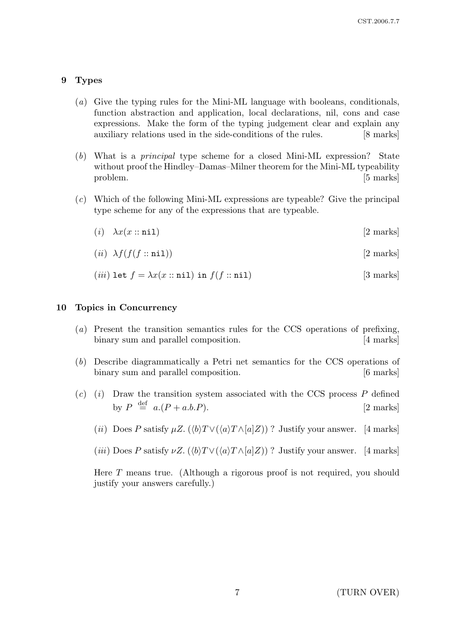### 9 Types

- (a) Give the typing rules for the Mini-ML language with booleans, conditionals, function abstraction and application, local declarations, nil, cons and case expressions. Make the form of the typing judgement clear and explain any auxiliary relations used in the side-conditions of the rules. [8 marks]
- (b) What is a principal type scheme for a closed Mini-ML expression? State without proof the Hindley–Damas–Milner theorem for the Mini-ML typeability problem. [5 marks]
- (c) Which of the following Mini-ML expressions are typeable? Give the principal type scheme for any of the expressions that are typeable.
	- (i)  $\lambda x(x::$  nil) [2 marks]
	- (*ii*)  $\lambda f(f(f::\texttt{nil}))$  [2 marks]

$$
(iii) Let f = \lambda x(x::nil) in f(f::nil)
$$
 [3 marks]

#### 10 Topics in Concurrency

- (a) Present the transition semantics rules for the CCS operations of prefixing, binary sum and parallel composition. [4 marks]
- (b) Describe diagrammatically a Petri net semantics for the CCS operations of binary sum and parallel composition. [6 marks]
- $(c)$  (i) Draw the transition system associated with the CCS process P defined by  $P \stackrel{\text{def}}{=} a.(P + a.b.P).$  [2 marks]
	- (ii) Does P satisfy  $\mu Z$ . ( $\langle b \rangle T \vee (\langle a \rangle T \wedge [a] Z)$ ) ? Justify your answer. [4 marks]
	- (*iii*) Does P satisfy  $\nu Z$ . ( $\langle b \rangle T \vee (\langle a \rangle T \wedge [a] Z)$ ) ? Justify your answer. [4 marks]

Here T means true. (Although a rigorous proof is not required, you should justify your answers carefully.)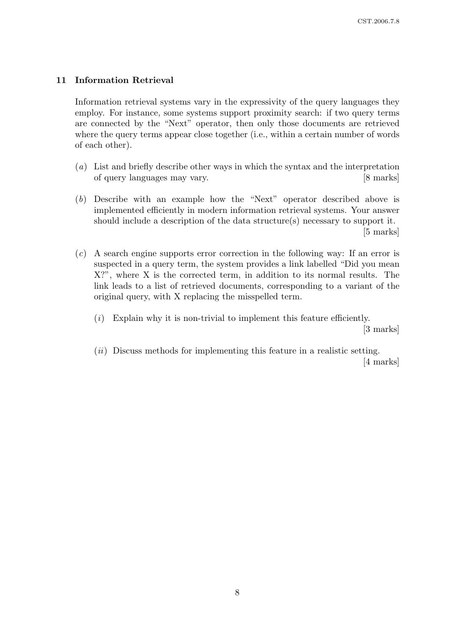## 11 Information Retrieval

Information retrieval systems vary in the expressivity of the query languages they employ. For instance, some systems support proximity search: if two query terms are connected by the "Next" operator, then only those documents are retrieved where the query terms appear close together (i.e., within a certain number of words of each other).

- (a) List and briefly describe other ways in which the syntax and the interpretation of query languages may vary. [8 marks]
- (b) Describe with an example how the "Next" operator described above is implemented efficiently in modern information retrieval systems. Your answer should include a description of the data structure(s) necessary to support it. [5 marks]
- (c) A search engine supports error correction in the following way: If an error is suspected in a query term, the system provides a link labelled "Did you mean X?", where X is the corrected term, in addition to its normal results. The link leads to a list of retrieved documents, corresponding to a variant of the original query, with X replacing the misspelled term.
	- $(i)$  Explain why it is non-trivial to implement this feature efficiently. [3 marks]
	- $(ii)$  Discuss methods for implementing this feature in a realistic setting. [4 marks]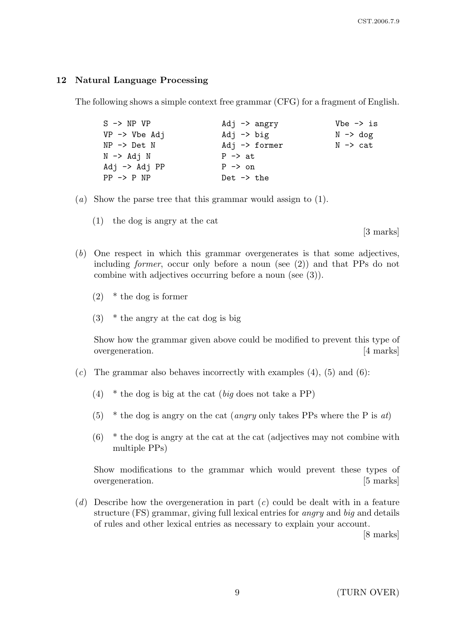## 12 Natural Language Processing

The following shows a simple context free grammar (CFG) for a fragment of English.

| $S \rightarrow NP VP$        | Adj $\rightarrow$ angry  | $Vbe \rightarrow is$ |
|------------------------------|--------------------------|----------------------|
| $VP \rightarrow Vbe Adj$     | Adj $\rightarrow$ big    | $N \rightarrow dog$  |
| $NP$ $\rightarrow$ $Det$ $N$ | Adj $\rightarrow$ former | N -> cat             |
| $N \rightarrow Adj N$        | $P \rightarrow at$       |                      |
| $Adj \rightarrow Adj PP$     | $P \rightarrow on$       |                      |
| $PP \rightarrow P NP$        | Det $\rightarrow$ the    |                      |

- (a) Show the parse tree that this grammar would assign to (1).
	- (1) the dog is angry at the cat

[3 marks]

- (b) One respect in which this grammar overgenerates is that some adjectives, including former, occur only before a noun (see (2)) and that PPs do not combine with adjectives occurring before a noun (see (3)).
	- (2) \* the dog is former
	- $(3)$  \* the angry at the cat dog is big

Show how the grammar given above could be modified to prevent this type of overgeneration. [4 marks]

- $(c)$  The grammar also behaves incorrectly with examples  $(4)$ ,  $(5)$  and  $(6)$ :
	- (4)  $*$  the dog is big at the cat (big does not take a PP)
	- (5) \* the dog is angry on the cat *(angry only takes PPs where the P is at)*
	- $(6)$  \* the dog is angry at the cat at the cat (adjectives may not combine with multiple PPs)

Show modifications to the grammar which would prevent these types of overgeneration. [5 marks]

(d) Describe how the overgeneration in part  $(c)$  could be dealt with in a feature structure (FS) grammar, giving full lexical entries for angry and big and details of rules and other lexical entries as necessary to explain your account.

[8 marks]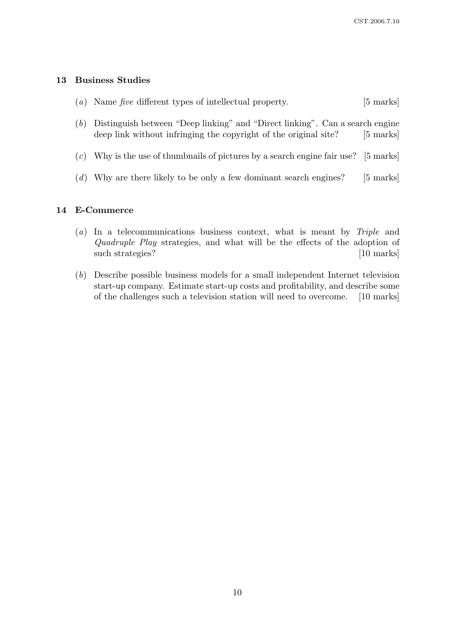#### 13 Business Studies

- (a) Name five different types of intellectual property. [5 marks]
- (b) Distinguish between "Deep linking" and "Direct linking". Can a search engine deep link without infringing the copyright of the original site? [5 marks]
- $(c)$  Why is the use of thumbnails of pictures by a search engine fair use? [5 marks]
- (d) Why are there likely to be only a few dominant search engines? [5 marks]

## 14 E-Commerce

- (a) In a telecommunications business context, what is meant by Triple and Quadruple Play strategies, and what will be the effects of the adoption of such strategies? [10 marks]
- (b) Describe possible business models for a small independent Internet television start-up company. Estimate start-up costs and profitability, and describe some of the challenges such a television station will need to overcome. [10 marks]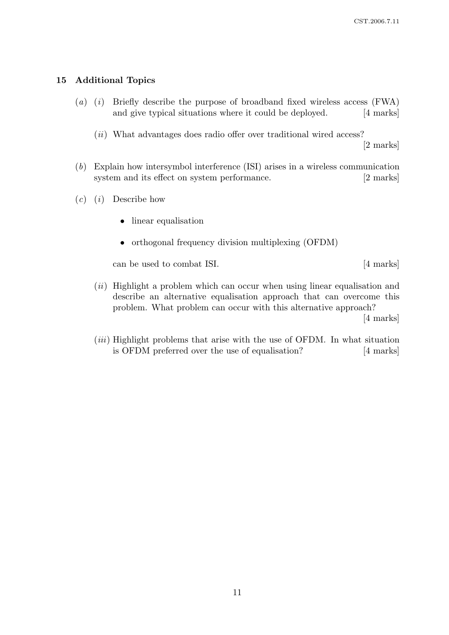#### 15 Additional Topics

- (a) (i) Briefly describe the purpose of broadband fixed wireless access  $(FWA)$ and give typical situations where it could be deployed. [4 marks]
	- $(ii)$  What advantages does radio offer over traditional wired access?

[2 marks]

- (b) Explain how intersymbol interference (ISI) arises in a wireless communication system and its effect on system performance. [2 marks]
- $(c)$  (*i*) Describe how
	- linear equalisation
	- orthogonal frequency division multiplexing (OFDM)

can be used to combat ISI. [4 marks]

(*ii*) Highlight a problem which can occur when using linear equalisation and describe an alternative equalisation approach that can overcome this problem. What problem can occur with this alternative approach?

[4 marks]

(*iii*) Highlight problems that arise with the use of OFDM. In what situation is OFDM preferred over the use of equalisation? [4 marks]